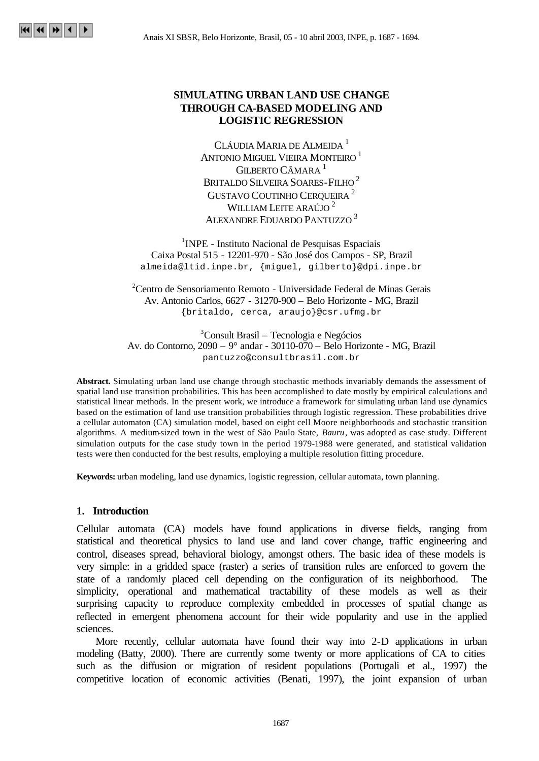# **SIMULATING URBAN LAND USE CHANGE THROUGH CA-BASED MODELING AND LOGISTIC REGRESSION**

CLÁUDIA MARIA DE ALMEIDA <sup>1</sup> ANTONIO MIGUEL VIEIRA MONTEIRO <sup>1</sup> GILBERTO CÂMARA<sup>1</sup> BRITALDO SILVEIRA SOARES-FILHO<sup>2</sup> GUSTAVO COUTINHO CERQUEIRA<sup>2</sup> WILLIAM LEITE ARAÚJO<sup>2</sup> ALEXANDRE EDUARDO PANTUZZO <sup>3</sup>

<sup>1</sup>INPE - Instituto Nacional de Pesquisas Espaciais Caixa Postal 515 - 12201-970 - São José dos Campos - SP, Brazil almeida@ltid.inpe.br, {miguel, gilberto}@dpi.inpe.br

 $2^2$ Centro de Sensoriamento Remoto - Universidade Federal de Minas Gerais Av. Antonio Carlos, 6627 - 31270-900 – Belo Horizonte - MG, Brazil {britaldo, cerca, araujo}@csr.ufmg.br

<sup>3</sup>Consult Brasil – Tecnologia e Negócios Av. do Contorno, 2090 – 9° andar - 30110-070 – Belo Horizonte - MG, Brazil pantuzzo@consultbrasil.com.br

**Abstract.** Simulating urban land use change through stochastic methods invariably demands the assessment of spatial land use transition probabilities. This has been accomplished to date mostly by empirical calculations and statistical linear methods. In the present work, we introduce a framework for simulating urban land use dynamics based on the estimation of land use transition probabilities through logistic regression. These probabilities drive a cellular automaton (CA) simulation model, based on eight cell Moore neighborhoods and stochastic transition algorithms. A medium-sized town in the west of São Paulo State, *Bauru*, was adopted as case study. Different simulation outputs for the case study town in the period 1979-1988 were generated, and statistical validation tests were then conducted for the best results, employing a multiple resolution fitting procedure.

**Keywords:** urban modeling, land use dynamics, logistic regression, cellular automata, town planning.

### **1. Introduction**

Cellular automata (CA) models have found applications in diverse fields, ranging from statistical and theoretical physics to land use and land cover change, traffic engineering and control, diseases spread, behavioral biology, amongst others. The basic idea of these models is very simple: in a gridded space (raster) a series of transition rules are enforced to govern the state of a randomly placed cell depending on the configuration of its neighborhood. The simplicity, operational and mathematical tractability of these models as well as their surprising capacity to reproduce complexity embedded in processes of spatial change as reflected in emergent phenomena account for their wide popularity and use in the applied sciences.

More recently, cellular automata have found their way into 2-D applications in urban modeling (Batty, 2000). There are currently some twenty or more applications of CA to cities such as the diffusion or migration of resident populations (Portugali et al., 1997) the competitive location of economic activities (Benati, 1997), the joint expansion of urban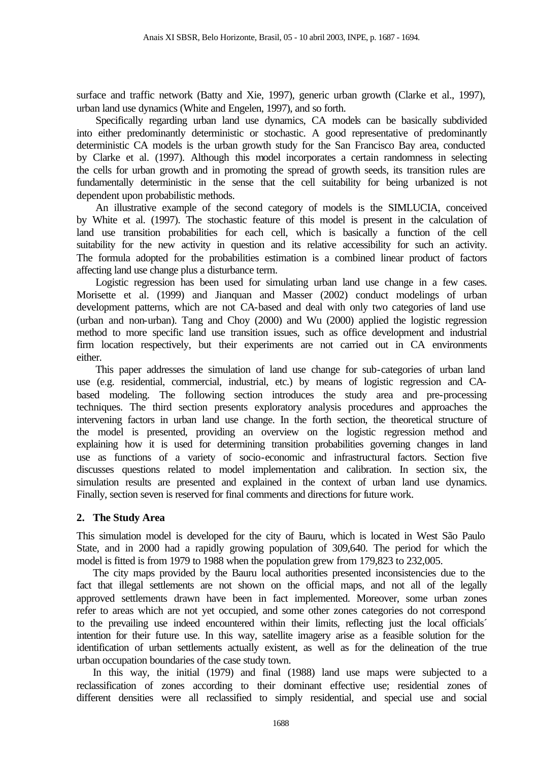surface and traffic network (Batty and Xie, 1997), generic urban growth (Clarke et al., 1997), urban land use dynamics (White and Engelen, 1997), and so forth.

Specifically regarding urban land use dynamics, CA models can be basically subdivided into either predominantly deterministic or stochastic. A good representative of predominantly deterministic CA models is the urban growth study for the San Francisco Bay area, conducted by Clarke et al. (1997). Although this model incorporates a certain randomness in selecting the cells for urban growth and in promoting the spread of growth seeds, its transition rules are fundamentally deterministic in the sense that the cell suitability for being urbanized is not dependent upon probabilistic methods.

An illustrative example of the second category of models is the SIMLUCIA, conceived by White et al. (1997). The stochastic feature of this model is present in the calculation of land use transition probabilities for each cell, which is basically a function of the cell suitability for the new activity in question and its relative accessibility for such an activity. The formula adopted for the probabilities estimation is a combined linear product of factors affecting land use change plus a disturbance term.

Logistic regression has been used for simulating urban land use change in a few cases. Morisette et al. (1999) and Jianquan and Masser (2002) conduct modelings of urban development patterns, which are not CA-based and deal with only two categories of land use (urban and non-urban). Tang and Choy (2000) and Wu (2000) applied the logistic regression method to more specific land use transition issues, such as office development and industrial firm location respectively, but their experiments are not carried out in CA environments either.

This paper addresses the simulation of land use change for sub-categories of urban land use (e.g. residential, commercial, industrial, etc.) by means of logistic regression and CAbased modeling. The following section introduces the study area and pre-processing techniques. The third section presents exploratory analysis procedures and approaches the intervening factors in urban land use change. In the forth section, the theoretical structure of the model is presented, providing an overview on the logistic regression method and explaining how it is used for determining transition probabilities governing changes in land use as functions of a variety of socio-economic and infrastructural factors. Section five discusses questions related to model implementation and calibration. In section six, the simulation results are presented and explained in the context of urban land use dynamics. Finally, section seven is reserved for final comments and directions for future work.

# **2. The Study Area**

This simulation model is developed for the city of Bauru, which is located in West São Paulo State, and in 2000 had a rapidly growing population of 309,640. The period for which the model is fitted is from 1979 to 1988 when the population grew from 179,823 to 232,005.

The city maps provided by the Bauru local authorities presented inconsistencies due to the fact that illegal settlements are not shown on the official maps, and not all of the legally approved settlements drawn have been in fact implemented. Moreover, some urban zones refer to areas which are not yet occupied, and some other zones categories do not correspond to the prevailing use indeed encountered within their limits, reflecting just the local officials´ intention for their future use. In this way, satellite imagery arise as a feasible solution for the identification of urban settlements actually existent, as well as for the delineation of the true urban occupation boundaries of the case study town.

In this way, the initial (1979) and final (1988) land use maps were subjected to a reclassification of zones according to their dominant effective use; residential zones of different densities were all reclassified to simply residential, and special use and social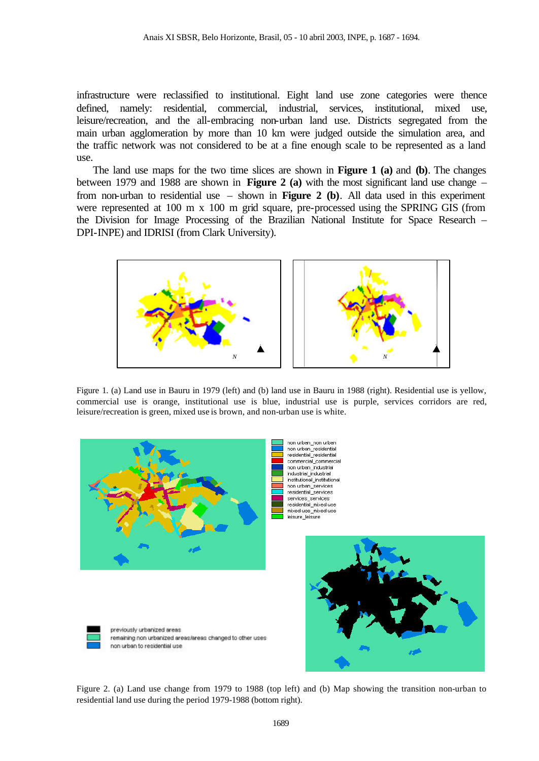infrastructure were reclassified to institutional. Eight land use zone categories were thence defined, namely: residential, commercial, industrial, services, institutional, mixed use, leisure/recreation, and the all-embracing non-urban land use. Districts segregated from the main urban agglomeration by more than 10 km were judged outside the simulation area, and the traffic network was not considered to be at a fine enough scale to be represented as a land use.

The land use maps for the two time slices are shown in **Figure 1 (a)** and **(b)**. The changes between 1979 and 1988 are shown in **Figure 2 (a)** with the most significant land use change – from non-urban to residential use – shown in **Figure 2 (b)**. All data used in this experiment were represented at 100 m x 100 m grid square, pre-processed using the SPRING GIS (from the Division for Image Processing of the Brazilian National Institute for Space Research – DPI-INPE) and IDRISI (from Clark University).



Figure 1. (a) Land use in Bauru in 1979 (left) and (b) land use in Bauru in 1988 (right). Residential use is yellow, commercial use is orange, institutional use is blue, industrial use is purple, services corridors are red, leisure/recreation is green, mixed use is brown, and non-urban use is white.



remaining non urbanized areas/areas changed to other uses

previously urbanized areas

non urban to residential use



Figure 2. (a) Land use change from 1979 to 1988 (top left) and (b) Map showing the transition non-urban to residential land use during the period 1979-1988 (bottom right).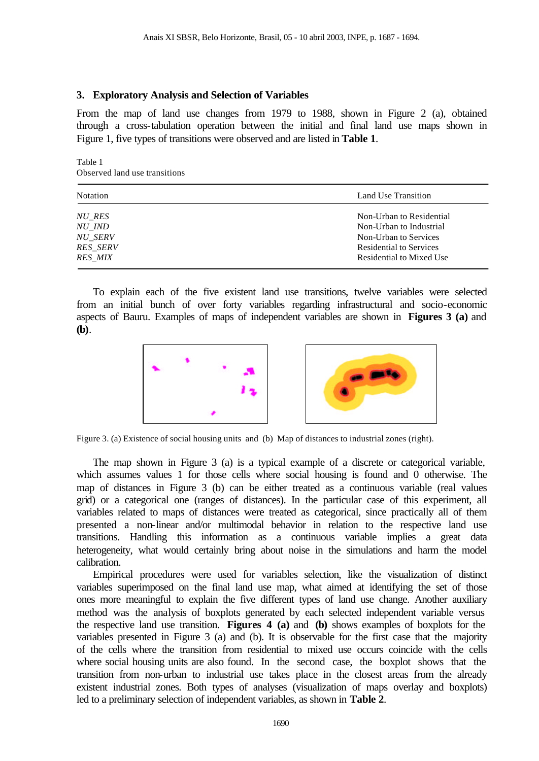# **3. Exploratory Analysis and Selection of Variables**

From the map of land use changes from 1979 to 1988, shown in Figure 2 (a), obtained through a cross-tabulation operation between the initial and final land use maps shown in Figure 1, five types of transitions were observed and are listed in **Table 1**.

Table 1 Observed land use transitions

| Notation        | Land Use Transition      |  |  |  |  |
|-----------------|--------------------------|--|--|--|--|
| NU RES          | Non-Urban to Residential |  |  |  |  |
| NU IND          | Non-Urban to Industrial  |  |  |  |  |
| <b>NU SERV</b>  | Non-Urban to Services    |  |  |  |  |
| <b>RES SERV</b> | Residential to Services  |  |  |  |  |
| <i>RES MIX</i>  | Residential to Mixed Use |  |  |  |  |

To explain each of the five existent land use transitions, twelve variables were selected from an initial bunch of over forty variables regarding infrastructural and socio-economic aspects of Bauru. Examples of maps of independent variables are shown in **Figures 3 (a)** and **(b)**.



Figure 3. (a) Existence of social housing units and (b) Map of distances to industrial zones (right).

The map shown in Figure 3 (a) is a typical example of a discrete or categorical variable, which assumes values 1 for those cells where social housing is found and 0 otherwise. The map of distances in Figure 3 (b) can be either treated as a continuous variable (real values grid) or a categorical one (ranges of distances). In the particular case of this experiment, all variables related to maps of distances were treated as categorical, since practically all of them presented a non-linear and/or multimodal behavior in relation to the respective land use transitions. Handling this information as a continuous variable implies a great data heterogeneity, what would certainly bring about noise in the simulations and harm the model calibration.

Empirical procedures were used for variables selection, like the visualization of distinct variables superimposed on the final land use map, what aimed at identifying the set of those ones more meaningful to explain the five different types of land use change. Another auxiliary method was the analysis of boxplots generated by each selected independent variable versus the respective land use transition. **Figures 4 (a)** and **(b)** shows examples of boxplots for the variables presented in Figure 3 (a) and (b). It is observable for the first case that the majority of the cells where the transition from residential to mixed use occurs coincide with the cells where social housing units are also found. In the second case, the boxplot shows that the transition from non-urban to industrial use takes place in the closest areas from the already existent industrial zones. Both types of analyses (visualization of maps overlay and boxplots) led to a preliminary selection of independent variables, as shown in **Table 2**.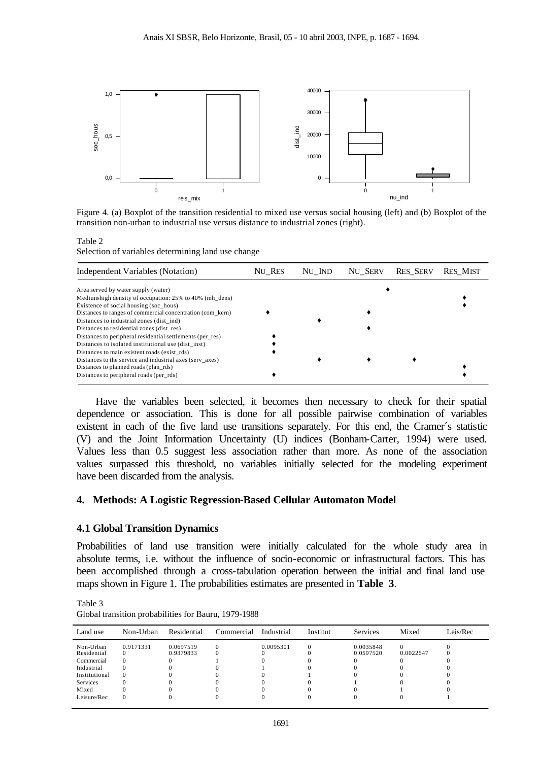

Figure 4. (a) Boxplot of the transition residential to mixed use versus social housing (left) and (b) Boxplot of the transition non-urban to industrial use versus distance to industrial zones (right).

#### Table 2

Selection of variables determining land use change

| Independent Variables (Notation)                           | NU RES | NU IND | NU SERV | <b>RES SERV</b> | <b>RES MIST</b> |
|------------------------------------------------------------|--------|--------|---------|-----------------|-----------------|
| Area served by water supply (water)                        |        |        |         |                 |                 |
| Medium-high density of occupation: 25% to 40% (mh dens)    |        |        |         |                 |                 |
| Existence of social housing (soc hous)                     |        |        |         |                 |                 |
| Distances to ranges of commercial concentration (com_kern) |        |        |         |                 |                 |
| Distances to industrial zones (dist ind)                   |        |        |         |                 |                 |
| Distances to residential zones (dist res)                  |        |        |         |                 |                 |
| Distances to peripheral residential settlements (per res)  |        |        |         |                 |                 |
| Distances to isolated institutional use (dist_inst)        |        |        |         |                 |                 |
| Distances to main existent roads (exist rds)               |        |        |         |                 |                 |
| Distances to the service and industrial axes (serv axes)   |        |        |         |                 |                 |
| Distances to planned roads (plan_rds)                      |        |        |         |                 |                 |
| Distances to peripheral roads (per rds)                    |        |        |         |                 |                 |

Have the variables been selected, it becomes then necessary to check for their spatial dependence or association. This is done for all possible pairwise combination of variables existent in each of the five land use transitions separately. For this end, the Cramer´s statistic (V) and the Joint Information Uncertainty (U) indices (Bonham-Carter, 1994) were used. Values less than 0.5 suggest less association rather than more. As none of the association values surpassed this threshold, no variables initially selected for the modeling experiment have been discarded from the analysis.

## **4. Methods: A Logistic Regression-Based Cellular Automaton Model**

# **4.1 Global Transition Dynamics**

Probabilities of land use transition were initially calculated for the whole study area in absolute terms, i.e. without the influence of socio-economic or infrastructural factors. This has been accomplished through a cross-tabulation operation between the initial and final land use maps shown in Figure 1. The probabilities estimates are presented in **Table 3**.

Table 3 Global transition probabilities for Bauru, 1979-1988

| Land use                               | Non-Urban | Residential            | Commercial | Industrial | Institut | Services               | Mixed     | Leis/Rec |
|----------------------------------------|-----------|------------------------|------------|------------|----------|------------------------|-----------|----------|
| Non-Urban<br>Residential<br>Commercial | 0.9171331 | 0.0697519<br>0.9379833 |            | 0.0095301  |          | 0.0035848<br>0.0597520 | 0.0022647 |          |
| Industrial<br>Institutional            | $\theta$  |                        |            |            |          |                        |           |          |
| Services<br>Mixed                      |           |                        |            |            |          |                        |           |          |
| Leisure/Rec                            |           |                        |            |            |          |                        |           |          |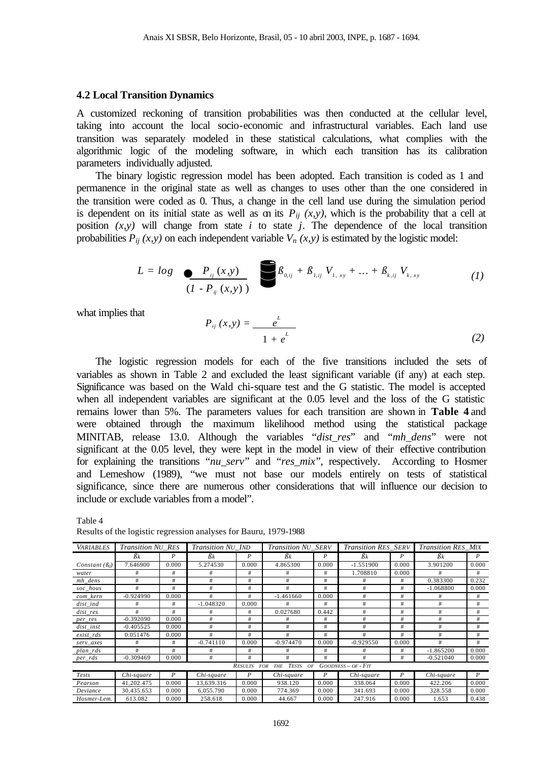#### **4.2 Local Transition Dynamics**

A customized reckoning of transition probabilities was then conducted at the cellular level, taking into account the local socio-economic and infrastructural variables. Each land use transition was separately modeled in these statistical calculations, what complies with the algorithmic logic of the modeling software, in which each transition has its calibration parameters individually adjusted.

The binary logistic regression model has been adopted. Each transition is coded as 1 and permanence in the original state as well as changes to uses other than the one considered in the transition were coded as 0. Thus, a change in the cell land use during the simulation period is dependent on its initial state as well as on its  $P_{ii}$  (x,y), which is the probability that a cell at position  $(x, y)$  will change from state *i* to state *j*. The dependence of the local transition probabilities  $P_{ii}(x, y)$  on each independent variable  $V_n(x, y)$  is estimated by the logistic model:

$$
L = log \sum_{(I - P_{ij}(x, y))} P_{0,ij} + \beta_{1,ij} V_{1,xy} + ... + \beta_{k,ij} V_{k,xy}
$$
 (1)

what implies that

$$
P_{ij}(x,y) = \frac{e^L}{1 + e^L} \tag{2}
$$

The logistic regression models for each of the five transitions included the sets of variables as shown in Table 2 and excluded the least significant variable (if any) at each step. Significance was based on the Wald chi-square test and the G statistic. The model is accepted when all independent variables are significant at the 0.05 level and the loss of the G statistic remains lower than 5%. The parameters values for each transition are shown in **Table 4** and were obtained through the maximum likelihood method using the statistical package MINITAB, release 13.0. Although the variables "*dist\_res*" and "*mh\_dens*" were not significant at the 0.05 level, they were kept in the model in view of their effective contribution for explaining the transitions "*nu\_serv*" and "*res\_mix*", respectively. According to Hosmer and Lemeshow (1989), "we must not base our models entirely on tests of statistical significance, since there are numerous other considerations that will influence our decision to include or exclude variables from a model".

Table 4 Results of the logistic regression analyses for Bauru, 1979-1988

| <b>VARIABLES</b>                                                                         | <b>Transition NU RES</b> |       | Transition NU IND |       | Transition NU SERV |       | <b>Transition RES SERV</b> |       | <b>Transition RES MIX</b> |       |
|------------------------------------------------------------------------------------------|--------------------------|-------|-------------------|-------|--------------------|-------|----------------------------|-------|---------------------------|-------|
|                                                                                          | $\beta$ k                |       | $\beta$ k         | P     | $\beta$ k          | P     | $\beta$ k                  |       | $\beta$ k                 | P     |
| Constant $(\beta_0)$                                                                     | 7.646900                 | 0.000 | 5.274530          | 0.000 | 4.865300           | 0.000 | $-1.551900$                | 0.000 | 3.901200                  | 0.000 |
| water                                                                                    | #                        | #     | #                 | #     | #                  | #     | 1.708810                   | 0.000 | #                         | #     |
| mh dens                                                                                  | #                        | #     | #                 | #     | #                  | #     | #                          | #     | 0.383300                  | 0.232 |
| soc_hous                                                                                 | #                        | #     | #                 | #     | #                  | #     | #                          | #     | $-1.068800$               | 0.000 |
| com_kern                                                                                 | $-0.924990$              | 0.000 | #                 | #     | $-1.461660$        | 0.000 | #                          | #     | #                         | #     |
| $dist\_ind$                                                                              | #                        | #     | $-1.048320$       | 0.000 | #                  | #     | #                          | #     | #                         | #     |
| dist res                                                                                 | #                        | #     | #                 | #     | 0.027680           | 0.442 | #                          | #     | #                         | #     |
| per_res                                                                                  | $-0.392090$              | 0.000 | #                 | #     | #                  | #     | #                          | #     | #                         | #     |
| dist inst                                                                                | $-0.405525$              | 0.000 | #                 | #     | #                  | #     | #                          | #     | #                         | #     |
| exist rds                                                                                | 0.051476                 | 0.000 | #                 | #     | #                  | #     | #                          | #     | #                         | #     |
| serv_axes                                                                                | #                        | #     | $-0.741110$       | 0.000 | $-0.974470$        | 0.000 | $-0.929550$                | 0.000 | #                         | #     |
| plan_rds                                                                                 | #                        | #     | #                 | #     | #                  | #     | #                          | #     | $-1.865200$               | 0.000 |
| per_rds                                                                                  | $-0.309469$              | 0.000 | #                 | #     | #                  | #     | #                          | #     | $-0.521040$               | 0.000 |
| <b>TESTS</b><br>$GOODNESS - OF - FT$<br><b>RESULTS</b><br><b>FOR</b><br>OF<br><b>THE</b> |                          |       |                   |       |                    |       |                            |       |                           |       |
| Tests                                                                                    | Chi-square               | P     | Chi-square        | P     | Chi-square         | P     | Chi-square                 | P     | Chi-square                | P     |
| Pearson                                                                                  | 41,202.475               | 0.000 | 13,639.316        | 0.000 | 938.120            | 0.000 | 338.064                    | 0.000 | 422.206                   | 0.000 |
| Deviance                                                                                 | 30.435.653               | 0.000 | 6.055.790         | 0.000 | 774.369            | 0.000 | 341.693                    | 0.000 | 328.558                   | 0.000 |
| Hosmer-Lem.                                                                              | 613.082                  | 0.000 | 258.618           | 0.000 | 44.667             | 0.000 | 247.916                    | 0.000 | 1.653                     | 0.438 |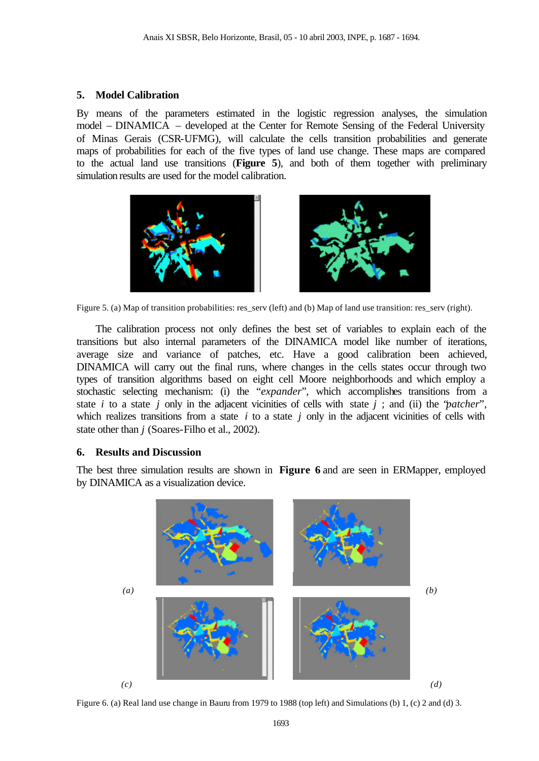# **5. Model Calibration**

By means of the parameters estimated in the logistic regression analyses, the simulation model – DINAMICA – developed at the Center for Remote Sensing of the Federal University of Minas Gerais (CSR-UFMG), will calculate the cells transition probabilities and generate maps of probabilities for each of the five types of land use change. These maps are compared to the actual land use transitions (**Figure 5**), and both of them together with preliminary simulation results are used for the model calibration.





Figure 5. (a) Map of transition probabilities: res\_serv (left) and (b) Map of land use transition: res\_serv (right).

The calibration process not only defines the best set of variables to explain each of the transitions but also internal parameters of the DINAMICA model like number of iterations, average size and variance of patches, etc. Have a good calibration been achieved, DINAMICA will carry out the final runs, where changes in the cells states occur through two types of transition algorithms based on eight cell Moore neighborhoods and which employ a stochastic selecting mechanism: (i) the "*expander*", which accomplishes transitions from a state *i* to a state *j* only in the adjacent vicinities of cells with state *j* ; and (ii) the "*patcher*", which realizes transitions from a state *i* to a state *j* only in the adjacent vicinities of cells with state other than *j* (Soares-Filho et al., 2002).

### **6. Results and Discussion**

The best three simulation results are shown in **Figure 6** and are seen in ERMapper, employed by DINAMICA as a visualization device.



Figure 6. (a) Real land use change in Bauru from 1979 to 1988 (top left) and Simulations (b) 1, (c) 2 and (d) 3.